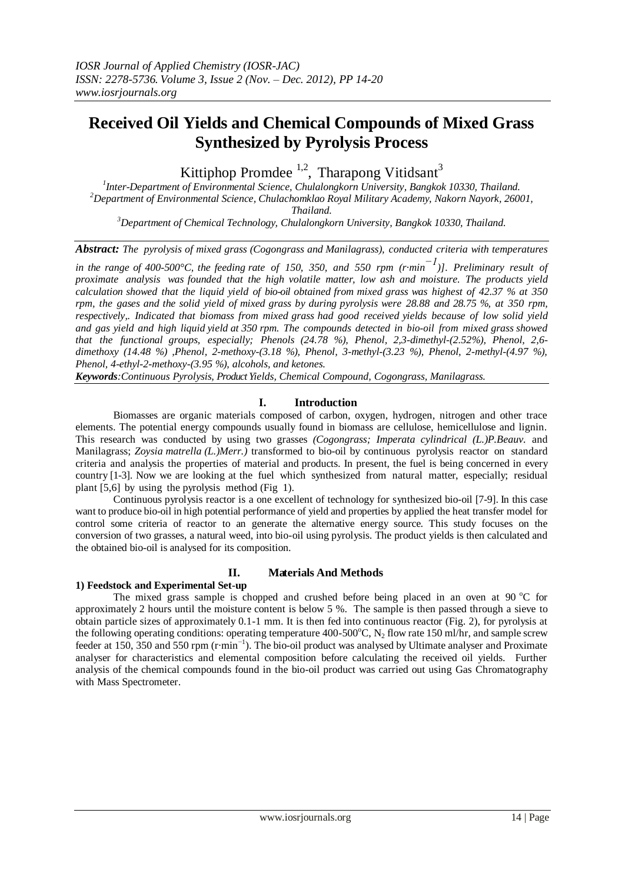# **Received Oil Yields and Chemical Compounds of Mixed Grass Synthesized by Pyrolysis Process**

Kittiphop Promdee  $^{1,2}$ , Tharapong Vitidsant<sup>3</sup>

*1 Inter-Department of Environmental Science, Chulalongkorn University, Bangkok 10330, Thailand. <sup>2</sup>Department of Environmental Science, Chulachomklao Royal Military Academy, Nakorn Nayork, 26001, Thailand.*

*<sup>3</sup>Department of Chemical Technology, Chulalongkorn University, Bangkok 10330, Thailand.*

*Abstract: The pyrolysis of mixed grass (Cogongrass and Manilagrass), conducted criteria with temperatures*

*in the range of 400-500°C, the feeding rate of 150, 350, and 550 rpm (r·min −1)]. Preliminary result of proximate analysis was founded that the high volatile matter, low ash and moisture. The products yield calculation showed that the liquid yield of bio-oil obtained from mixed grass was highest of 42.37 % at 350 rpm, the gases and the solid yield of mixed grass by during pyrolysis were 28.88 and 28.75 %, at 350 rpm, respectively,. Indicated that biomass from mixed grass had good received yields because of low solid yield and gas yield and high liquid yield at 350 rpm. The compounds detected in bio-oil from mixed grass showed that the functional groups, especially; Phenols (24.78 %), Phenol, 2,3-dimethyl-(2.52%), Phenol, 2,6 dimethoxy (14.48 %) ,Phenol, 2-methoxy-(3.18 %), Phenol, 3-methyl-(3.23 %), Phenol, 2-methyl-(4.97 %), Phenol, 4-ethyl-2-methoxy-(3.95 %), alcohols, and ketones.*

*Keywords:Continuous Pyrolysis, Product Yields, Chemical Compound, Cogongrass, Manilagrass.*

### **I. Introduction**

Biomasses are organic materials composed of carbon, oxygen, hydrogen, nitrogen and other trace elements. The potential energy compounds usually found in biomass are cellulose, hemicellulose and lignin. This research was conducted by using two grasses *(Cogongrass; Imperata cylindrical (L.)P.Beauv.* and Manilagrass; *[Zoysia](http://www.desert-tropicals.com/Plants/Poaceae/Zoysia.html) matrella (L.)Merr.)* transformed to bio-oil by continuous pyrolysis reactor on standard criteria and analysis the properties of material and products. In present, the fuel is being concerned in every country [1-3]. Now we are looking at the fuel which synthesized from natural matter, especially; residual plant [5,6] by using the pyrolysis method (Fig 1).

Continuous pyrolysis reactor is a one excellent of technology for synthesized bio-oil [7-9]. In this case want to produce bio-oil in high potential performance of yield and properties by applied the heat transfer model for control some criteria of reactor to an generate the alternative energy source. This study focuses on the conversion of two grasses, a natural weed, into bio-oil using pyrolysis. The product yields is then calculated and the obtained bio-oil is analysed for its composition.

### **II. Materials And Methods**

**1) Feedstock and Experimental Set-up**

The mixed grass sample is chopped and crushed before being placed in an oven at  $90\,^{\circ}\text{C}$  for approximately 2 hours until the moisture content is below 5 %. The sample is then passed through a sieve to obtain particle sizes of approximately 0.1-1 mm. It is then fed into continuous reactor (Fig. 2), for pyrolysis at the following operating conditions: operating temperature 400-500°C, N<sub>2</sub> flow rate 150 ml/hr, and sample screw feeder at 150, 350 and 550 rpm (r·min−1 ). The bio-oil product was analysed by Ultimate analyser and Proximate analyser for characteristics and elemental composition before calculating the received oil yields. Further analysis of the chemical compounds found in the bio-oil product was carried out using Gas Chromatography with Mass Spectrometer.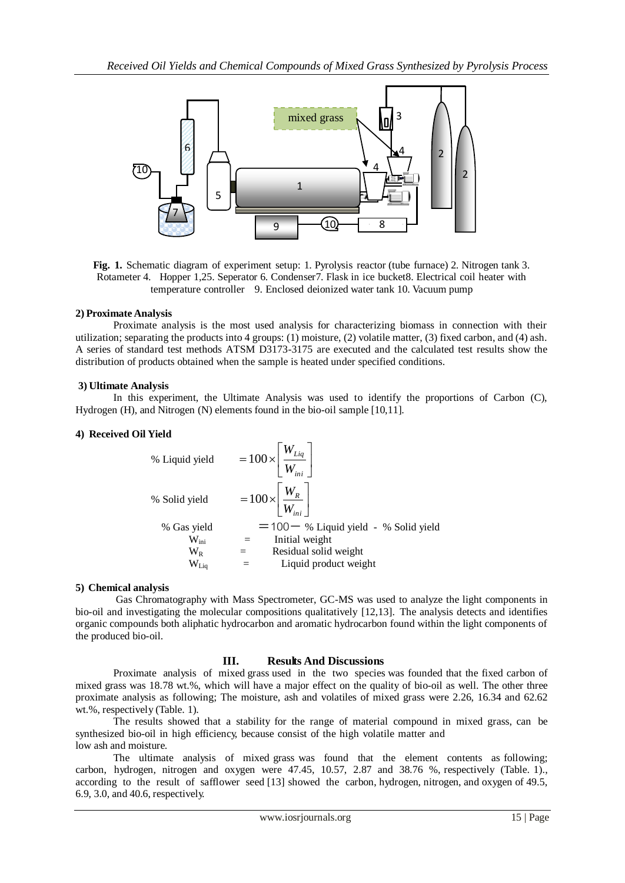

**Fig. 1.** Schematic diagram of experiment setup: 1. Pyrolysis reactor (tube furnace) 2. Nitrogen tank 3. Rotameter 4. Hopper 1,25. Seperator 6. Condenser7. Flask in ice bucket8. Electrical coil heater with temperature controller 9. Enclosed deionized water tank 10. Vacuum pump

#### **2) Proximate Analysis**

 Proximate analysis is the most used analysis for characterizing biomass in connection with their utilization; separating the products into 4 groups: (1) moisture, (2) volatile matter, (3) fixed carbon, and (4) ash. A series of standard test methods ATSM D3173-3175 are executed and the calculated test results show the distribution of products obtained when the sample is heated under specified conditions.

#### **3) Ultimate Analysis**

 In this experiment, the Ultimate Analysis was used to identify the proportions of Carbon (C), Hydrogen (H), and Nitrogen (N) elements found in the bio-oil sample [10,11].

#### **4) Received Oil Yield**

% Liquid yield  
\n
$$
= 100 \times \left[ \frac{W_{Liq}}{W_{ini}} \right]
$$
\n
$$
= 100 \times \left[ \frac{W_R}{W_{ini}} \right]
$$
\n
$$
= 100 \times \left[ \frac{W_R}{W_{ini}} \right]
$$
\n
$$
= 100 - % Liquid yield - % Solid yield\n
$$
\frac{W_{lin}}{W_R} = \frac{Initial weight}{Residual solid weight}
$$
\n
$$
\frac{W_L}{W_{Liq}} = \frac{Liquid product weight}{W_{Liq}}
$$
$$

#### **5) Chemical analysis**

Gas Chromatography with Mass Spectrometer, GC-MS was used to analyze the light components in bio-oil and investigating the molecular compositions qualitatively [12,13]. The analysis detects and identifies organic compounds both aliphatic hydrocarbon and aromatic hydrocarbon found within the light components of the produced bio-oil.

### **III. Results And Discussions**

Proximate analysis of mixed grass used in the two species was founded that the fixed carbon of mixed grass was 18.78 wt.%, which will have a major effect on the quality of bio-oil as well. The other three proximate analysis as following; The moisture, ash and volatiles of mixed grass were 2.26, 16.34 and 62.62 wt.%, respectively (Table. 1).

The results showed that a stability for the range of material compound in mixed grass, can be synthesized bio-oil in high efficiency, because consist of the high volatile matter and low ash and moisture.

The ultimate analysis of mixed grass was found that the element contents as following; carbon, hydrogen, nitrogen and oxygen were 47.45, 10.57, 2.87 and 38.76 %, respectively (Table. 1)., according to the result of safflower seed [13] showed the carbon, hydrogen, nitrogen, and oxygen of 49.5, 6.9, 3.0, and 40.6, respectively.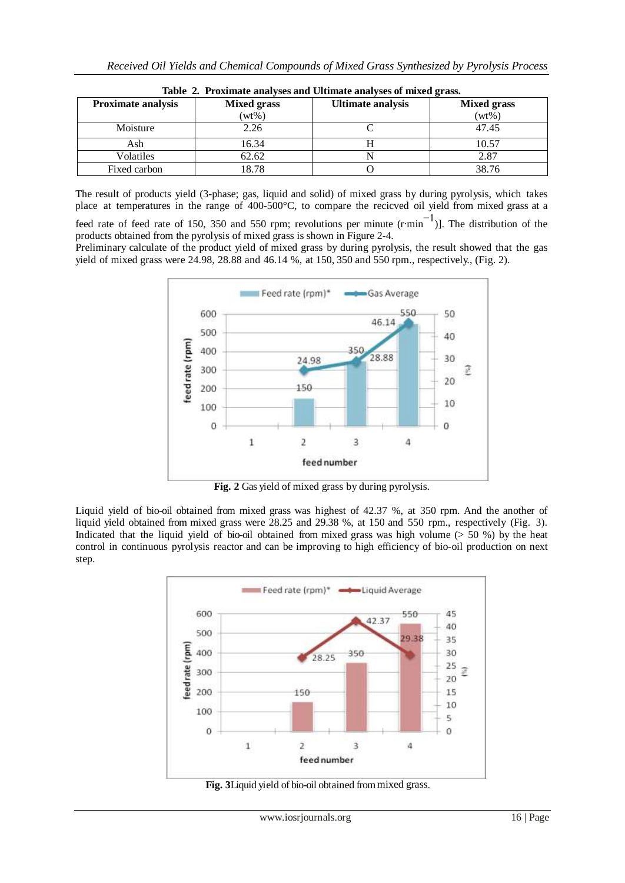| Table 2. Proximate analyses and Ultimate analyses of mixed grass. |                    |                          |                    |  |  |
|-------------------------------------------------------------------|--------------------|--------------------------|--------------------|--|--|
| <b>Proximate analysis</b>                                         | <b>Mixed grass</b> | <b>Ultimate analysis</b> | <b>Mixed grass</b> |  |  |
|                                                                   | $(wt\%)$           |                          | $(wt\%)$           |  |  |
| Moisture                                                          | 2.26               |                          | 47.45              |  |  |
| Ash                                                               | 16.34              |                          | 10.57              |  |  |
| Volatiles                                                         | 62.62              |                          | 2.87               |  |  |
| Fixed carbon                                                      | 18.78              |                          | 38.76              |  |  |

**Table 2. Proximate analyses and Ultimate analyses of mixed grass.**

The result of products yield (3-phase; gas, liquid and solid) of mixed grass by during pyrolysis, which takes place at temperatures in the range of 400-500°C, to compare the recicved oil yield from mixed grass at a

feed rate of feed rate of 150, 350 and 550 rpm; revolutions per minute  $(r·min^{-1})$ ]. The distribution of the products obtained from the pyrolysis of mixed grass is shown in Figure 2-4.

Preliminary calculate of the product yield of mixed grass by during pyrolysis, the result showed that the gas yield of mixed grass were 24.98, 28.88 and 46.14 %, at 150, 350 and 550 rpm., respectively., (Fig. 2).



 **Fig. 2** Gas yield of mixed grass by during pyrolysis.

Liquid yield of bio-oil obtained from mixed grass was highest of 42.37 %, at 350 rpm. And the another of liquid yield obtained from mixed grass were 28.25 and 29.38 %, at 150 and 550 rpm., respectively (Fig. 3). Indicated that the liquid yield of bio-oil obtained from mixed grass was high volume  $($  > 50 %) by the heat control in continuous pyrolysis reactor and can be improving to high efficiency of bio-oil production on next step.



 **Fig. 3**Liquid yield of bio-oil obtained frommixed grass.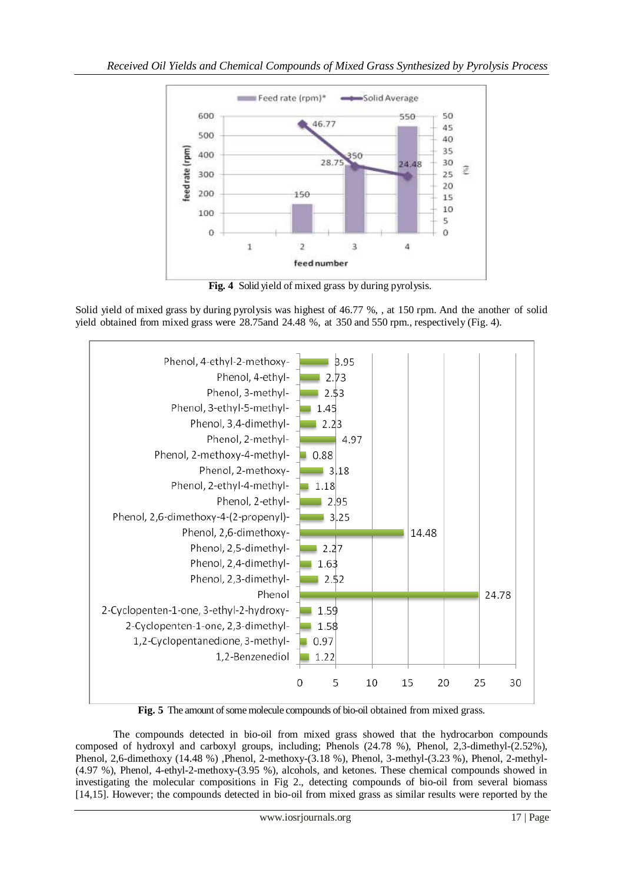

 **Fig. 4** Solid yield of mixed grass by during pyrolysis.

Solid yield of mixed grass by during pyrolysis was highest of 46.77 %, , at 150 rpm. And the another of solid yield obtained from mixed grass were 28.75and 24.48 %, at 350 and 550 rpm., respectively (Fig. 4).



Fig. 5 The amount of some molecule compounds of bio-oil obtained from mixed grass.

 The compounds detected in bio-oil from mixed grass showed that the hydrocarbon compounds composed of hydroxyl and carboxyl groups, including; Phenols (24.78 %), Phenol, 2,3-dimethyl-(2.52%), Phenol, 2,6-dimethoxy (14.48 %) ,Phenol, 2-methoxy-(3.18 %), Phenol, 3-methyl-(3.23 %), Phenol, 2-methyl- (4.97 %), Phenol, 4-ethyl-2-methoxy-(3.95 %), alcohols, and ketones. These chemical compounds showed in investigating the molecular compositions in Fig 2., detecting compounds of bio-oil from several biomass [14,15]. However; the compounds detected in bio-oil from mixed grass as similar results were reported by the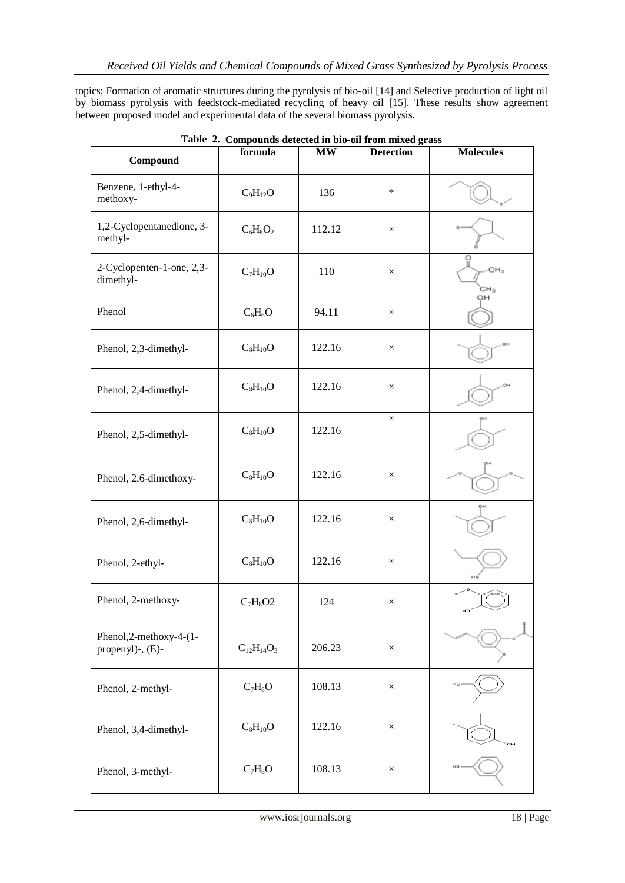topics; Formation of aromatic structures during the pyrolysis of bio-oil [14] and Selective production of light oil by biomass pyrolysis with feedstock-mediated recycling of heavy oil [15]. These results show agreement between proposed model and experimental data of the several biomass pyrolysis.

| Compound                                       | formula           | $\mathbf{M}\mathbf{W}$ | <b>Detection</b> | <b>Molecules</b>       |
|------------------------------------------------|-------------------|------------------------|------------------|------------------------|
| Benzene, 1-ethyl-4-<br>methoxy-                | $C_9H_{12}O$      | 136                    | $\ast$           |                        |
| 1,2-Cyclopentanedione, 3-<br>methyl-           | $C_6H_8O_2$       | 112.12                 | $\times$         |                        |
| 2-Cyclopenten-1-one, 2,3-<br>dimethyl-         | $C_7H_{10}O$      | 110                    | $\times$         | CH <sub>3</sub><br>CH3 |
| Phenol                                         | $C_6H_6O$         | 94.11                  | $\times$         | OH                     |
| Phenol, 2,3-dimethyl-                          | $C_8H_{10}O$      | 122.16                 | $\times$         |                        |
| Phenol, 2,4-dimethyl-                          | $C_8H_{10}O$      | 122.16                 | $\times$         |                        |
| Phenol, 2,5-dimethyl-                          | $C_8H_{10}O$      | 122.16                 | $\times$         |                        |
| Phenol, 2,6-dimethoxy-                         | $C_8H_{10}O$      | 122.16                 | $\times$         |                        |
| Phenol, 2,6-dimethyl-                          | $C_8H_{10}O$      | 122.16                 | $\times$         |                        |
| Phenol, 2-ethyl-                               | $C_8H_{10}O$      | 122.16                 | $\times$         |                        |
| Phenol, 2-methoxy-                             | $C_7H_8O2$        | 124                    | $\times$         | HO                     |
| Phenol, 2-methoxy-4-(1-<br>propenyl)-, $(E)$ - | $C_{12}H_{14}O_3$ | 206.23                 | $\times$         |                        |
| Phenol, 2-methyl-                              | $C_7H_8O$         | 108.13                 | $\times$         | HO                     |
| Phenol, 3,4-dimethyl-                          | $C_8H_{10}O$      | 122.16                 | $\times$         | $\sigma$ H             |
| Phenol, 3-methyl-                              | $C_7H_8O$         | 108.13                 | $\times$         |                        |

**Table 2. Compounds detected in bio-oil from mixed grass**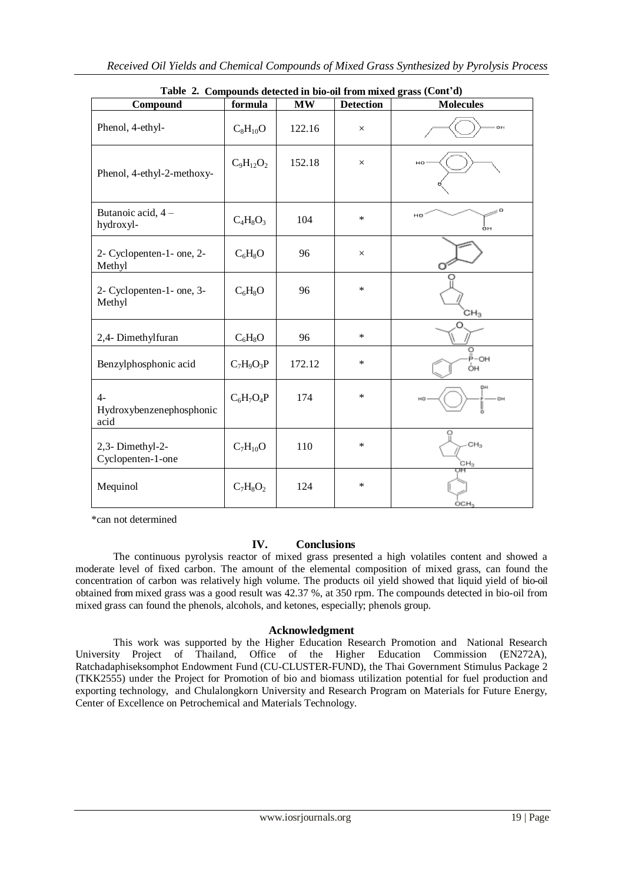| Compound                                 | formula        | <b>MW</b> | <b>Detection</b> | Table 2. Compounds actedied in blo-on from maximal stass (Commo)<br><b>Molecules</b> |
|------------------------------------------|----------------|-----------|------------------|--------------------------------------------------------------------------------------|
| Phenol, 4-ethyl-                         | $C_8H_{10}O$   | 122.16    | $\times$         | OH                                                                                   |
| Phenol, 4-ethyl-2-methoxy-               | $C_9H_{12}O_2$ | 152.18    | $\times$         | HO                                                                                   |
| Butanoic acid, 4 -<br>hydroxyl-          | $C_4H_8O_3$    | 104       | $\ast$           | HO<br>òн                                                                             |
| 2- Cyclopenten-1- one, 2-<br>Methyl      | $C_6H_8O$      | 96        | $\times$         |                                                                                      |
| 2- Cyclopenten-1- one, 3-<br>Methyl      | $C_6H_8O$      | 96        | $\ast$           | CH <sub>3</sub>                                                                      |
| 2,4- Dimethylfuran                       | $C_6H_8O$      | 96        | $\ast$           |                                                                                      |
| Benzylphosphonic acid                    | $C_7H_9O_3P$   | 172.12    | $\ast$           | о<br>-Р-он<br>ÒН                                                                     |
| $4-$<br>Hydroxybenzenephosphonic<br>acid | $C_6H_7O_4P$   | 174       | $\ast$           | DН<br>ōΗ                                                                             |
| 2,3-Dimethyl-2-<br>Cyclopenten-1-one     | $C_7H_{10}O$   | 110       | $\ast$           | CH <sub>3</sub><br>CH3                                                               |
| Mequinol                                 | $C_7H_8O_2$    | 124       | $\ast$           | OCH,                                                                                 |

**Table 2. Compounds detected in bio-oil from mixed grass (Cont'd)**

\*can not determined

## **IV. Conclusions**

The continuous pyrolysis reactor of mixed grass presented a high volatiles content and showed a moderate level of fixed carbon. The amount of the elemental composition of mixed grass, can found the concentration of carbon was relatively high volume. The products oil yield showed that liquid yield of bio-oil obtained from mixed grass was a good result was 42.37 %, at 350 rpm. The compounds detected in bio-oil from mixed grass can found the phenols, alcohols, and ketones, especially; phenols group.

### **Acknowledgment**

This work was supported by the Higher Education Research Promotion and National Research University Project of Thailand, Office of the Higher Education Commission (EN272A), Ratchadaphiseksomphot Endowment Fund (CU-CLUSTER-FUND), the Thai Government Stimulus Package 2 (TKK2555) under the Project for Promotion of bio and biomass utilization potential for fuel production and exporting technology, and Chulalongkorn University and Research Program on Materials for Future Energy, Center of Excellence on Petrochemical and Materials Technology.